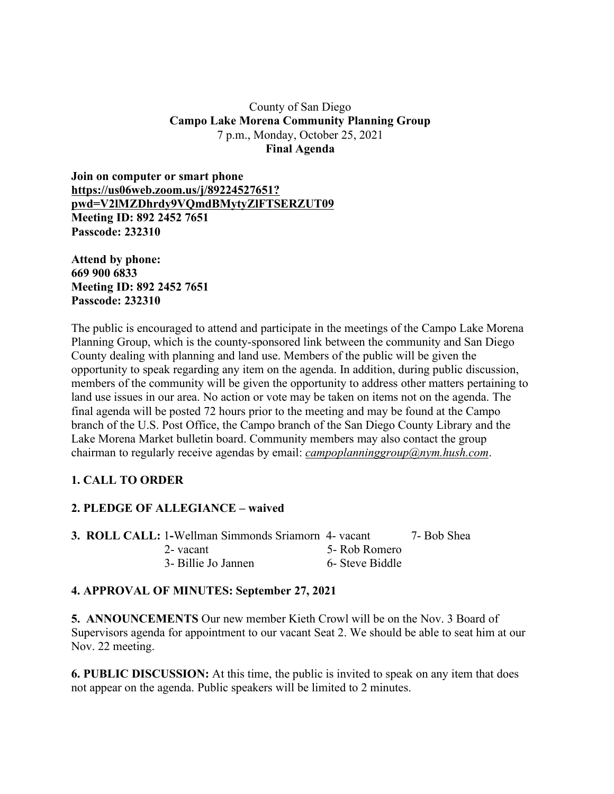### County of San Diego **Campo Lake Morena Community Planning Group** 7 p.m., Monday, October 25, 2021 **Final Agenda**

**Join on computer or smart phone https://us06web.zoom.us/j/89224527651? pwd=V2lMZDhrdy9VQmdBMytyZlFTSERZUT09 Meeting ID: 892 2452 7651 Passcode: 232310**

**Attend by phone: 669 900 6833 Meeting ID: 892 2452 7651 Passcode: 232310**

The public is encouraged to attend and participate in the meetings of the Campo Lake Morena Planning Group, which is the county-sponsored link between the community and San Diego County dealing with planning and land use. Members of the public will be given the opportunity to speak regarding any item on the agenda. In addition, during public discussion, members of the community will be given the opportunity to address other matters pertaining to land use issues in our area. No action or vote may be taken on items not on the agenda. The final agenda will be posted 72 hours prior to the meeting and may be found at the Campo branch of the U.S. Post Office, the Campo branch of the San Diego County Library and the Lake Morena Market bulletin board. Community members may also contact the group chairman to regularly receive agendas by email: *campoplanninggroup@nym.hush.com*.

# **1. CALL TO ORDER**

# **2. PLEDGE OF ALLEGIANCE – waived**

|  | <b>3. ROLL CALL: 1-Wellman Simmonds Sriamorn 4- vacant</b> |                 | 7- Bob Shea |
|--|------------------------------------------------------------|-----------------|-------------|
|  | 2-vacant                                                   | 5- Rob Romero   |             |
|  | 3- Billie Jo Jannen                                        | 6- Steve Biddle |             |

# **4. APPROVAL OF MINUTES: September 27, 2021**

**5. ANNOUNCEMENTS** Our new member Kieth Crowl will be on the Nov. 3 Board of Supervisors agenda for appointment to our vacant Seat 2. We should be able to seat him at our Nov. 22 meeting.

**6. PUBLIC DISCUSSION:** At this time, the public is invited to speak on any item that does not appear on the agenda. Public speakers will be limited to 2 minutes.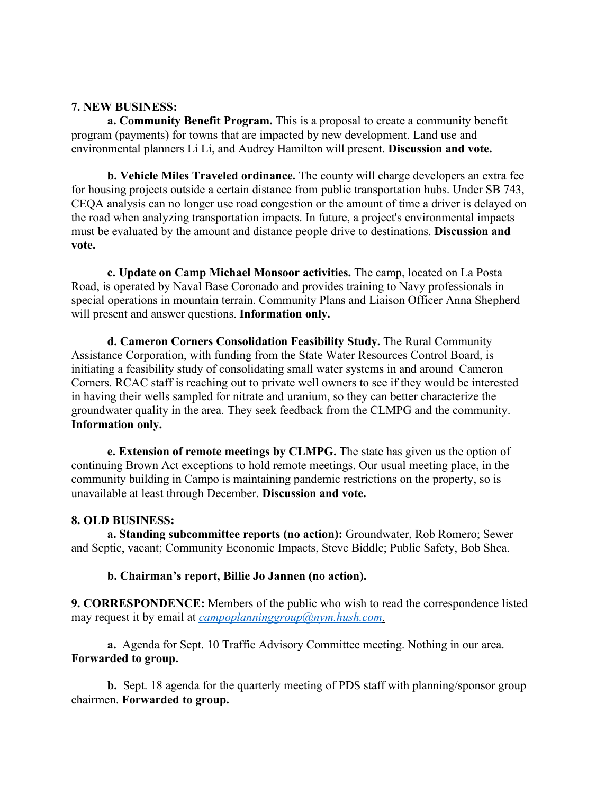#### **7. NEW BUSINESS:**

**a. Community Benefit Program.** This is a proposal to create a community benefit program (payments) for towns that are impacted by new development. Land use and environmental planners Li Li, and Audrey Hamilton will present. **Discussion and vote.**

**b. Vehicle Miles Traveled ordinance.** The county will charge developers an extra fee for housing projects outside a certain distance from public transportation hubs. Under SB 743, CEQA analysis can no longer use road congestion or the amount of time a driver is delayed on the road when analyzing transportation impacts. In future, a project's environmental impacts must be evaluated by the amount and distance people drive to destinations. **Discussion and vote.**

**c. Update on Camp Michael Monsoor activities.** The camp, located on La Posta Road, is operated by Naval Base Coronado and provides training to Navy professionals in special operations in mountain terrain. Community Plans and Liaison Officer Anna Shepherd will present and answer questions. **Information only.**

**d. Cameron Corners Consolidation Feasibility Study.** The Rural Community Assistance Corporation, with funding from the State Water Resources Control Board, is initiating a feasibility study of consolidating small water systems in and around Cameron Corners. RCAC staff is reaching out to private well owners to see if they would be interested in having their wells sampled for nitrate and uranium, so they can better characterize the groundwater quality in the area. They seek feedback from the CLMPG and the community. **Information only.**

**e. Extension of remote meetings by CLMPG.** The state has given us the option of continuing Brown Act exceptions to hold remote meetings. Our usual meeting place, in the community building in Campo is maintaining pandemic restrictions on the property, so is unavailable at least through December. **Discussion and vote.**

#### **8. OLD BUSINESS:**

**a. Standing subcommittee reports (no action):** Groundwater, Rob Romero; Sewer and Septic, vacant; Community Economic Impacts, Steve Biddle; Public Safety, Bob Shea.

### **b. Chairman's report, Billie Jo Jannen (no action).**

**9. CORRESPONDENCE:** Members of the public who wish to read the correspondence listed may request it by email at *campoplanninggroup@nym.hush.com.*

**a.** Agenda for Sept. 10 Traffic Advisory Committee meeting. Nothing in our area. **Forwarded to group.**

**b.** Sept. 18 agenda for the quarterly meeting of PDS staff with planning/sponsor group chairmen. **Forwarded to group.**